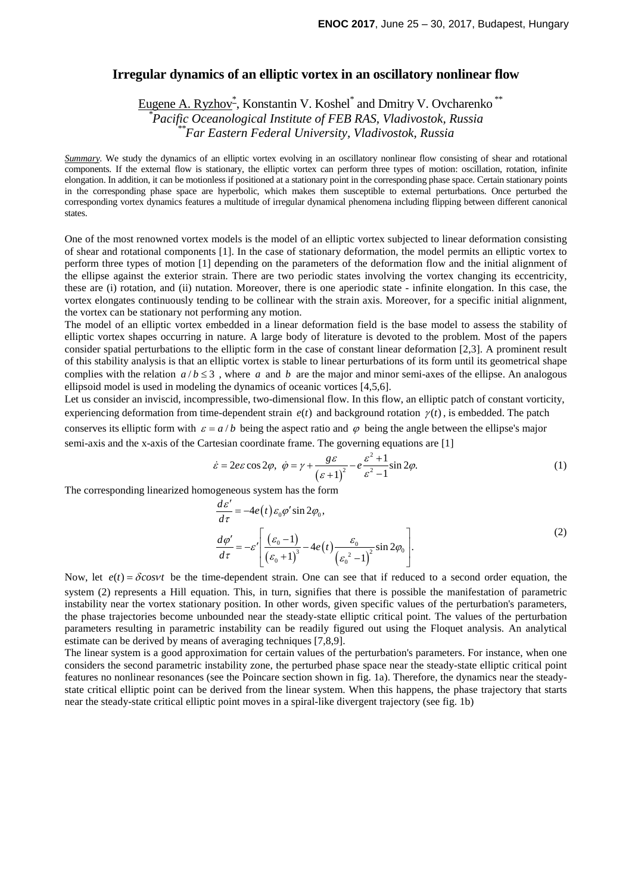## **Irregular dynamics of an elliptic vortex in an oscillatory nonlinear flow**

Eugene A. Ryzhov<sup>\*</sup>, Konstantin V. Koshel<sup>\*</sup> and Dmitry V. Ovcharenko<sup>\*\*</sup> *\* Pacific Oceanological Institute of FEB RAS, Vladivostok, Russia \*\*Far Eastern Federal University, Vladivostok, Russia*

*Summary*. We study the dynamics of an elliptic vortex evolving in an oscillatory nonlinear flow consisting of shear and rotational components. If the external flow is stationary, the elliptic vortex can perform three types of motion: oscillation, rotation, infinite elongation. In addition, it can be motionless if positioned at a stationary point in the corresponding phase space. Certain stationary points in the corresponding phase space are hyperbolic, which makes them susceptible to external perturbations. Once perturbed the corresponding vortex dynamics features a multitude of irregular dynamical phenomena including flipping between different canonical states.

One of the most renowned vortex models is the model of an elliptic vortex subjected to linear deformation consisting of shear and rotational components [1]. In the case of stationary deformation, the model permits an elliptic vortex to perform three types of motion [1] depending on the parameters of the deformation flow and the initial alignment of the ellipse against the exterior strain. There are two periodic states involving the vortex changing its eccentricity, these are (i) rotation, and (ii) nutation. Moreover, there is one aperiodic state - infinite elongation. In this case, the vortex elongates continuously tending to be collinear with the strain axis. Moreover, for a specific initial alignment, the vortex can be stationary not performing any motion.

The model of an elliptic vortex embedded in a linear deformation field is the base model to assess the stability of elliptic vortex shapes occurring in nature. A large body of literature is devoted to the problem. Most of the papers consider spatial perturbations to the elliptic form in the case of constant linear deformation [2,3]. A prominent result of this stability analysis is that an elliptic vortex is stable to linear perturbations of its form until its geometrical shape complies with the relation  $a/b \leq 3$ , where *a* and *b* are the major and minor semi-axes of the ellipse. An analogous ellipsoid model is used in modeling the dynamics of oceanic vortices [4,5,6].

Let us consider an inviscid, incompressible, two-dimensional flow. In this flow, an elliptic patch of constant vorticity, experiencing deformation from time-dependent strain  $e(t)$  and background rotation  $\gamma(t)$ , is embedded. The patch conserves its elliptic form with  $\varepsilon = a/b$  being the aspect ratio and  $\varphi$  being the angle between the ellipse's major semi-axis and the x-axis of the Cartesian coordinate frame. The governing equations are [1]

$$
\dot{\varepsilon} = 2e\varepsilon \cos 2\varphi, \quad \dot{\varphi} = \gamma + \frac{g\varepsilon}{\left(\varepsilon + 1\right)^2} - e\frac{\varepsilon^2 + 1}{\varepsilon^2 - 1}\sin 2\varphi. \tag{1}
$$

The corresponding linearized homogeneous system has the form

$$
\frac{d\varepsilon'}{d\tau} = -4e(t)\varepsilon_0 \varphi' \sin 2\varphi_0,
$$
  

$$
\frac{d\varphi'}{d\tau} = -\varepsilon' \left[ \frac{(\varepsilon_0 - 1)}{(\varepsilon_0 + 1)^3} - 4e(t) \frac{\varepsilon_0}{(\varepsilon_0^2 - 1)^2} \sin 2\varphi_0 \right].
$$
 (2)

Now, let  $e(t) = \delta \cos \nu t$  be the time-dependent strain. One can see that if reduced to a second order equation, the system (2) represents a Hill equation. This, in turn, signifies that there is possible the manifestation of parametric instability near the vortex stationary position. In other words, given specific values of the perturbation's parameters, the phase trajectories become unbounded near the steady-state elliptic critical point. The values of the perturbation parameters resulting in parametric instability can be readily figured out using the Floquet analysis. An analytical estimate can be derived by means of averaging techniques [7,8,9].

The linear system is a good approximation for certain values of the perturbation's parameters. For instance, when one considers the second parametric instability zone, the perturbed phase space near the steady-state elliptic critical point features no nonlinear resonances (see the Poincare section shown in fig. 1a). Therefore, the dynamics near the steadystate critical elliptic point can be derived from the linear system. When this happens, the phase trajectory that starts near the steady-state critical elliptic point moves in a spiral-like divergent trajectory (see fig. 1b)